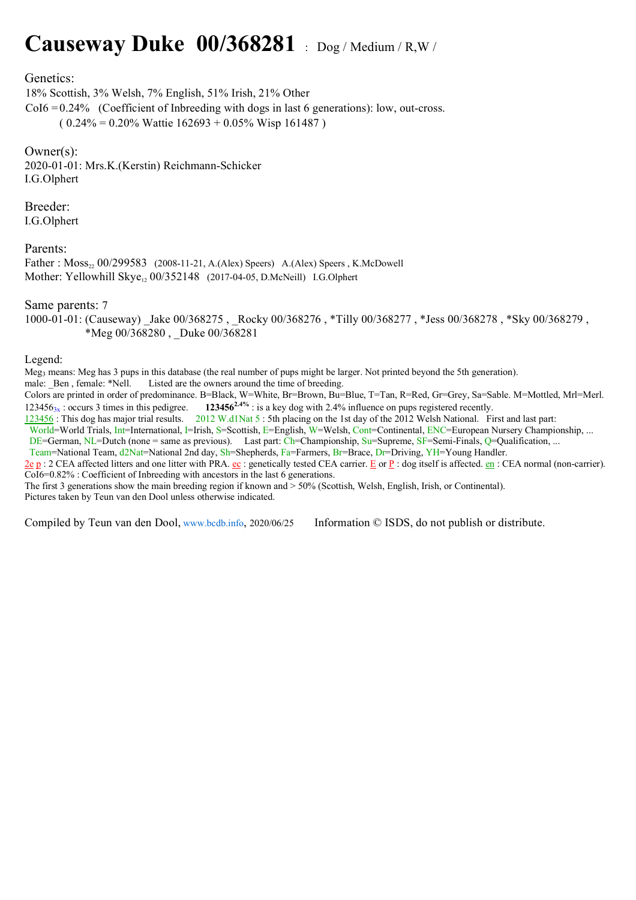## **Causeway Duke 00/368281** : Dog / Medium / R,W /

Genetics:

18% Scottish, 3% Welsh, 7% English, 51% Irish, 21% Other

CoI6 = 0.24% (Coefficient of Inbreeding with dogs in last 6 generations): low, out-cross.

 $(0.24\% = 0.20\%$  Wattie  $162693 + 0.05\%$  Wisp 161487)

Owner(s): 2020-01-01: Mrs.K.(Kerstin) Reichmann-Schicker I.G.Olphert

Breeder: I.G.Olphert

Parents:

Father :  $Moss_{22}$  00/299583 (2008-11-21, A.(Alex) Speers) A.(Alex) Speers, K.McDowell Mother: Yellowhill Skye<sub>12</sub> 00/352148 (2017-04-05, D.McNeill) I.G.Olphert

Same parents: 7

1000-01-01: (Causeway) Jake 00/368275, Rocky 00/368276, \*Tilly 00/368277, \*Jess 00/368278, \*Sky 00/368279, \*Meg 00/368280 , \_Duke 00/368281

Legend:

Meg3 means: Meg has 3 pups in this database (the real number of pups might be larger. Not printed beyond the 5th generation).

male: Ben, female: \*Nell. Listed are the owners around the time of breeding.

Colors are printed in order of predominance. B=Black, W=White, Br=Brown, Bu=Blue, T=Tan, R=Red, Gr=Grey, Sa=Sable. M=Mottled, Mrl=Merl.  $123456<sub>3x</sub>$ : occurs 3 times in this pedigree. **123456<sup>2.4%</sup>**: is a key dog with 2.4% influence on pups registered recently.

123456 : This dog has major trial results. 2012 W.d1Nat 5 : 5th placing on the 1st day of the 2012 Welsh National. First and last part:

World=World Trials, Int=International, I=Irish, S=Scottish, E=English, W=Welsh, Cont=Continental, ENC=European Nursery Championship, ...

DE=German, NL=Dutch (none = same as previous). Last part: Ch=Championship, Su=Supreme, SF=Semi-Finals, Q=Qualification, ... Team=National Team, d2Nat=National 2nd day, Sh=Shepherds, Fa=Farmers, Br=Brace, Dr=Driving, YH=Young Handler.

2e p : 2 CEA affected litters and one litter with PRA. ec : genetically tested CEA carrier. E or P : dog itself is affected. en : CEA normal (non-carrier). CoI6=0.82% : Coefficient of Inbreeding with ancestors in the last 6 generations.

The first 3 generations show the main breeding region if known and > 50% (Scottish, Welsh, English, Irish, or Continental).

Pictures taken by Teun van den Dool unless otherwise indicated.

Compiled by Teun van den Dool, www.bcdb.info, 2020/06/25 Information © ISDS, do not publish or distribute.